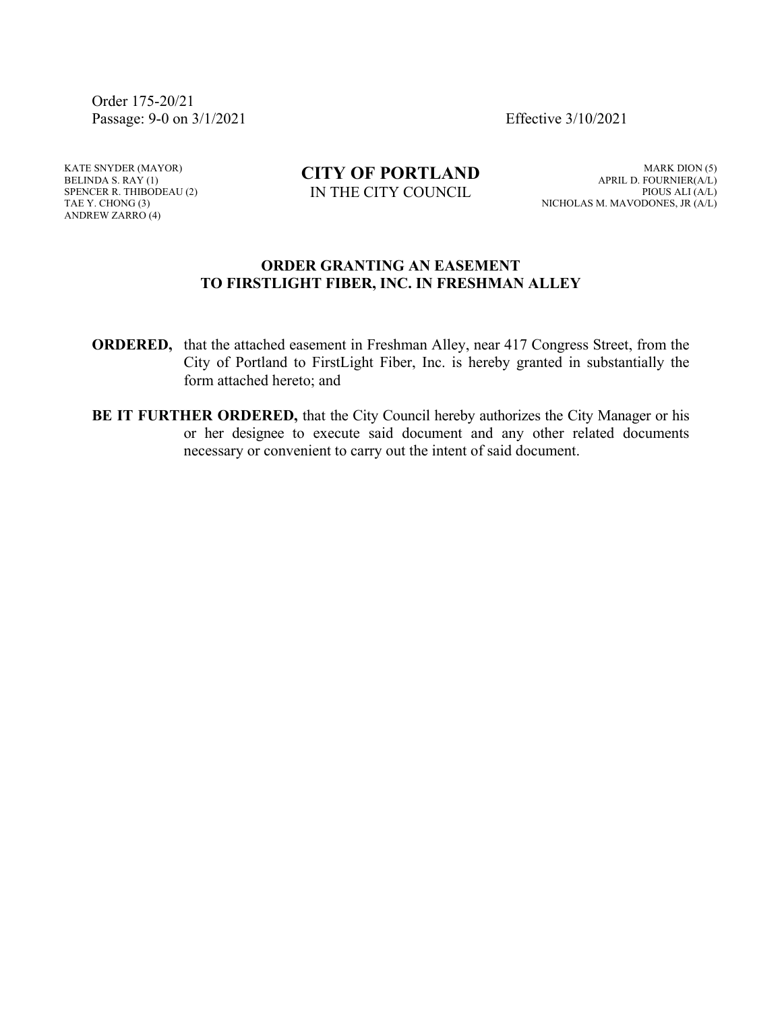Order 175-20/21 Passage: 9-0 on 3/1/2021 Effective 3/10/2021

KATE SNYDER (MAYOR) BELINDA S. RAY (1) SPENCER R. THIBODEAU (2) TAE Y. CHONG (3) ANDREW ZARRO (4)

**CITY OF PORTLAND** IN THE CITY COUNCIL

MARK DION (5) APRIL D. FOURNIER(A/L) PIOUS ALI (A/L) NICHOLAS M. MAVODONES, JR (A/L)

#### **ORDER GRANTING AN EASEMENT TO FIRSTLIGHT FIBER, INC. IN FRESHMAN ALLEY**

- **ORDERED,** that the attached easement in Freshman Alley, near 417 Congress Street, from the City of Portland to FirstLight Fiber, Inc. is hereby granted in substantially the form attached hereto; and
- **BE IT FURTHER ORDERED,** that the City Council hereby authorizes the City Manager or his or her designee to execute said document and any other related documents necessary or convenient to carry out the intent of said document.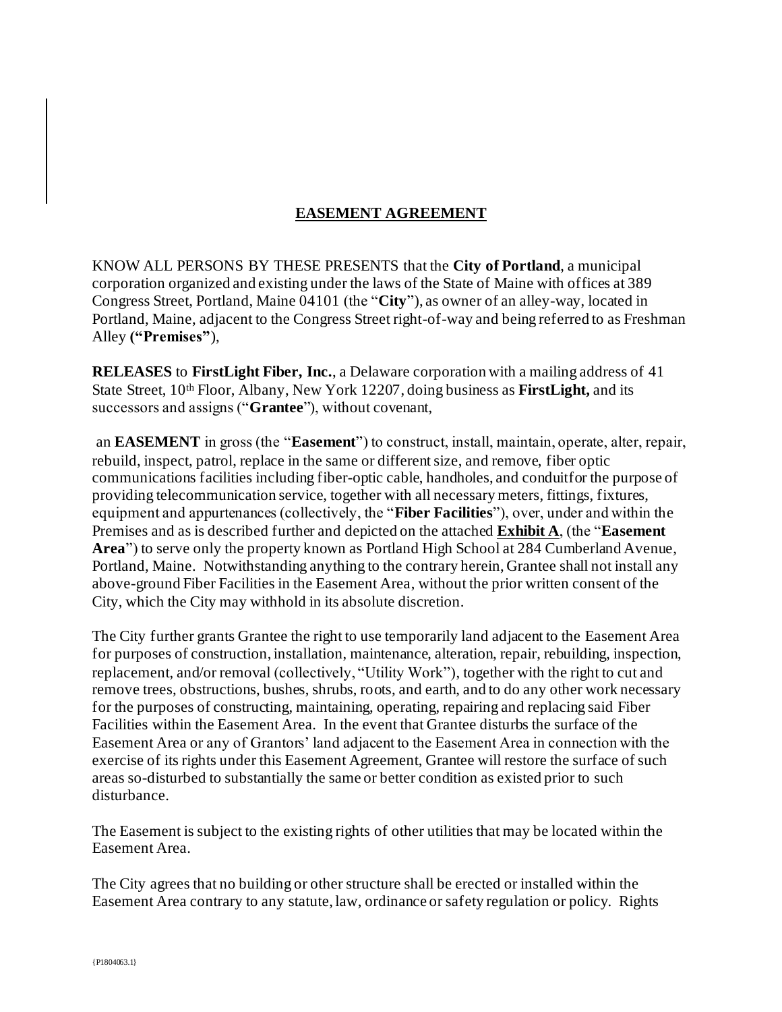# **EASEMENT AGREEMENT**

KNOW ALL PERSONS BY THESE PRESENTS that the **City of Portland**, a municipal corporation organized and existing under the laws of the State of Maine with offices at 389 Congress Street, Portland, Maine 04101 (the "**City**"), as owner of an alley-way, located in Portland, Maine, adjacent to the Congress Street right-of-way and being referred to as Freshman Alley **("Premises"**),

**RELEASES** to **FirstLight Fiber, Inc.**, a Delaware corporation with a mailing address of 41 State Street, 10th Floor, Albany, New York 12207, doing business as **FirstLight,** and its successors and assigns ("**Grantee**"), without covenant,

an **EASEMENT** in gross (the "**Easement**") to construct, install, maintain, operate, alter, repair, rebuild, inspect, patrol, replace in the same or different size, and remove, fiber optic communications facilities including fiber-optic cable, handholes, and conduitfor the purpose of providing telecommunication service, together with all necessary meters, fittings, fixtures, equipment and appurtenances (collectively, the "**Fiber Facilities**"), over, under and within the Premises and as is described further and depicted on the attached **Exhibit A**, (the "**Easement Area**") to serve only the property known as Portland High School at 284 Cumberland Avenue, Portland, Maine. Notwithstanding anything to the contrary herein, Grantee shall not install any above-ground Fiber Facilities in the Easement Area, without the prior written consent of the City, which the City may withhold in its absolute discretion.

The City further grants Grantee the right to use temporarily land adjacent to the Easement Area for purposes of construction, installation, maintenance, alteration, repair, rebuilding, inspection, replacement, and/or removal (collectively, "Utility Work"), together with the right to cut and remove trees, obstructions, bushes, shrubs, roots, and earth, and to do any other work necessary for the purposes of constructing, maintaining, operating, repairing and replacing said Fiber Facilities within the Easement Area. In the event that Grantee disturbs the surface of the Easement Area or any of Grantors' land adjacent to the Easement Area in connection with the exercise of its rights under this Easement Agreement, Grantee will restore the surface of such areas so-disturbed to substantially the same or better condition as existed prior to such disturbance.

The Easement is subject to the existing rights of other utilities that may be located within the Easement Area.

The City agrees that no building or other structure shall be erected or installed within the Easement Area contrary to any statute, law, ordinance or safety regulation or policy. Rights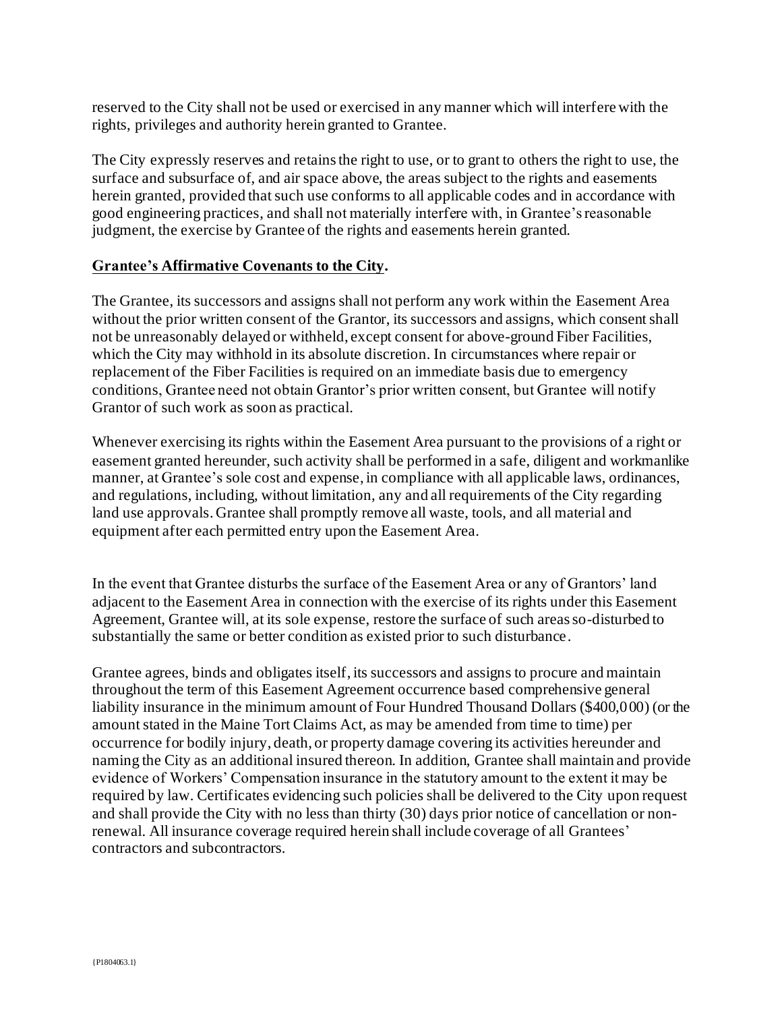reserved to the City shall not be used or exercised in any manner which will interfere with the rights, privileges and authority herein granted to Grantee.

The City expressly reserves and retains the right to use, or to grant to others the right to use, the surface and subsurface of, and air space above, the areas subject to the rights and easements herein granted, provided that such use conforms to all applicable codes and in accordance with good engineering practices, and shall not materially interfere with, in Grantee's reasonable judgment, the exercise by Grantee of the rights and easements herein granted.

### **Grantee's Affirmative Covenants to the City.**

The Grantee, its successors and assigns shall not perform any work within the Easement Area without the prior written consent of the Grantor, its successors and assigns, which consent shall not be unreasonably delayed or withheld, except consent for above-ground Fiber Facilities, which the City may withhold in its absolute discretion. In circumstances where repair or replacement of the Fiber Facilities is required on an immediate basis due to emergency conditions, Grantee need not obtain Grantor's prior written consent, but Grantee will notify Grantor of such work as soon as practical.

Whenever exercising its rights within the Easement Area pursuant to the provisions of a right or easement granted hereunder, such activity shall be performed in a safe, diligent and workmanlike manner, at Grantee's sole cost and expense, in compliance with all applicable laws, ordinances, and regulations, including, without limitation, any and all requirements of the City regarding land use approvals. Grantee shall promptly remove all waste, tools, and all material and equipment after each permitted entry upon the Easement Area.

In the event that Grantee disturbs the surface of the Easement Area or any of Grantors' land adjacent to the Easement Area in connection with the exercise of its rights under this Easement Agreement, Grantee will, at its sole expense, restore the surface of such areas so-disturbed to substantially the same or better condition as existed prior to such disturbance.

Grantee agrees, binds and obligates itself, its successors and assigns to procure and maintain throughout the term of this Easement Agreement occurrence based comprehensive general liability insurance in the minimum amount of Four Hundred Thousand Dollars (\$400,000) (or the amount stated in the Maine Tort Claims Act, as may be amended from time to time) per occurrence for bodily injury, death, or property damage covering its activities hereunder and naming the City as an additional insured thereon. In addition, Grantee shall maintain and provide evidence of Workers' Compensation insurance in the statutory amount to the extent it may be required by law. Certificates evidencing such policies shall be delivered to the City upon request and shall provide the City with no less than thirty (30) days prior notice of cancellation or nonrenewal. All insurance coverage required herein shall include coverage of all Grantees' contractors and subcontractors.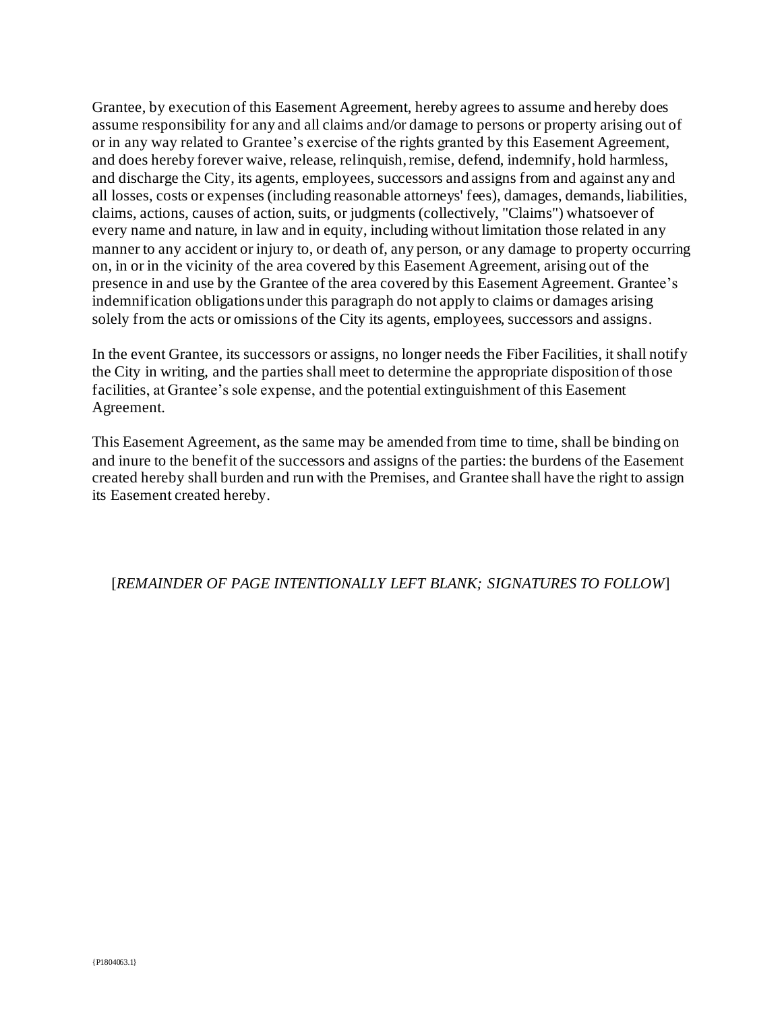Grantee, by execution of this Easement Agreement, hereby agrees to assume and hereby does assume responsibility for any and all claims and/or damage to persons or property arising out of or in any way related to Grantee's exercise of the rights granted by this Easement Agreement, and does hereby forever waive, release, relinquish, remise, defend, indemnify, hold harmless, and discharge the City, its agents, employees, successors and assigns from and against any and all losses, costs or expenses (including reasonable attorneys' fees), damages, demands, liabilities, claims, actions, causes of action, suits, or judgments (collectively, "Claims") whatsoever of every name and nature, in law and in equity, including without limitation those related in any manner to any accident or injury to, or death of, any person, or any damage to property occurring on, in or in the vicinity of the area covered by this Easement Agreement, arising out of the presence in and use by the Grantee of the area covered by this Easement Agreement. Grantee's indemnification obligations under this paragraph do not apply to claims or damages arising solely from the acts or omissions of the City its agents, employees, successors and assigns.

In the event Grantee, its successors or assigns, no longer needs the Fiber Facilities, it shall notify the City in writing, and the parties shall meet to determine the appropriate disposition of those facilities, at Grantee's sole expense, and the potential extinguishment of this Easement Agreement.

This Easement Agreement, as the same may be amended from time to time, shall be binding on and inure to the benefit of the successors and assigns of the parties: the burdens of the Easement created hereby shall burden and run with the Premises, and Grantee shall have the right to assign its Easement created hereby.

## [*REMAINDER OF PAGE INTENTIONALLY LEFT BLANK; SIGNATURES TO FOLLOW*]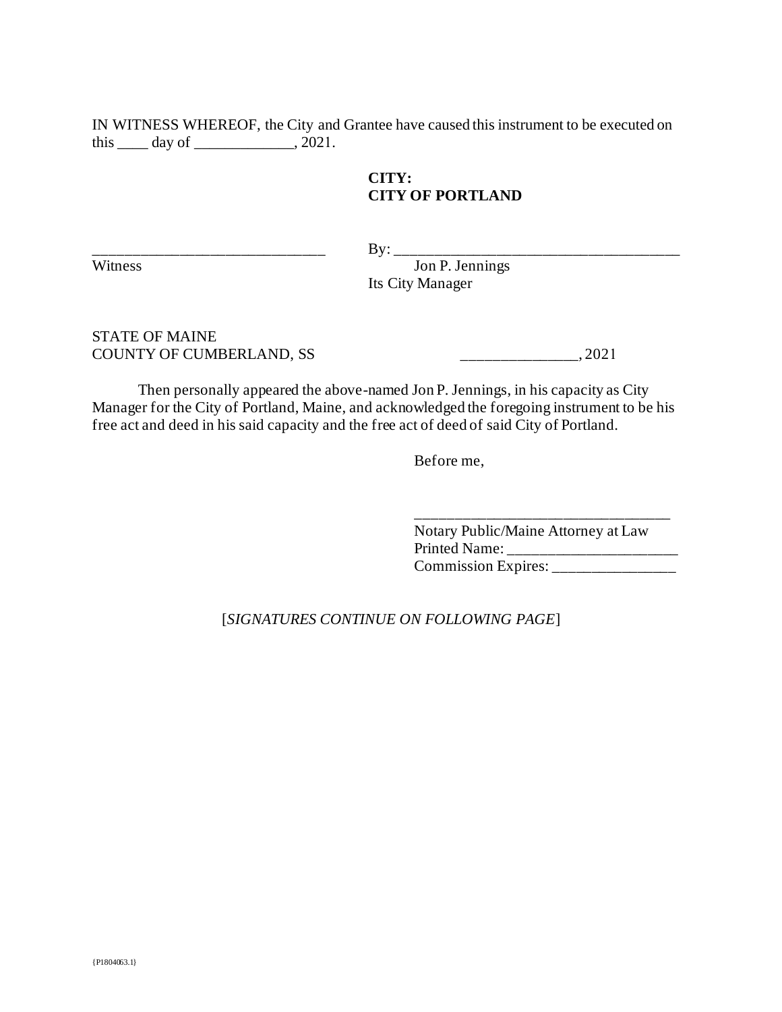IN WITNESS WHEREOF, the City and Grantee have caused this instrument to be executed on this  $\_\_\_\_$  day of  $\_\_\_\_\_\_\_$ , 2021.

## **CITY: CITY OF PORTLAND**

\_\_\_\_\_\_\_\_\_\_\_\_\_\_\_\_\_\_\_\_\_\_\_\_\_\_\_\_\_\_ By: \_\_\_\_\_\_\_\_\_\_\_\_\_\_\_\_\_\_\_\_\_\_\_\_\_\_\_\_\_\_\_\_\_\_\_\_\_

Witness Jon P. Jennings Its City Manager

STATE OF MAINE COUNTY OF CUMBERLAND, SS \_\_\_\_\_\_\_\_\_\_\_\_\_\_\_, 2021

Then personally appeared the above-named Jon P. Jennings, in his capacity as City Manager for the City of Portland, Maine, and acknowledged the foregoing instrument to be his free act and deed in his said capacity and the free act of deed of said City of Portland.

Before me,

Notary Public/Maine Attorney at Law Printed Name: \_\_\_\_\_\_\_\_\_\_\_\_\_\_\_\_\_\_\_\_\_\_ Commission Expires: \_\_\_\_\_\_\_\_\_\_\_\_\_\_\_\_

\_\_\_\_\_\_\_\_\_\_\_\_\_\_\_\_\_\_\_\_\_\_\_\_\_\_\_\_\_\_\_\_\_

[*SIGNATURES CONTINUE ON FOLLOWING PAGE*]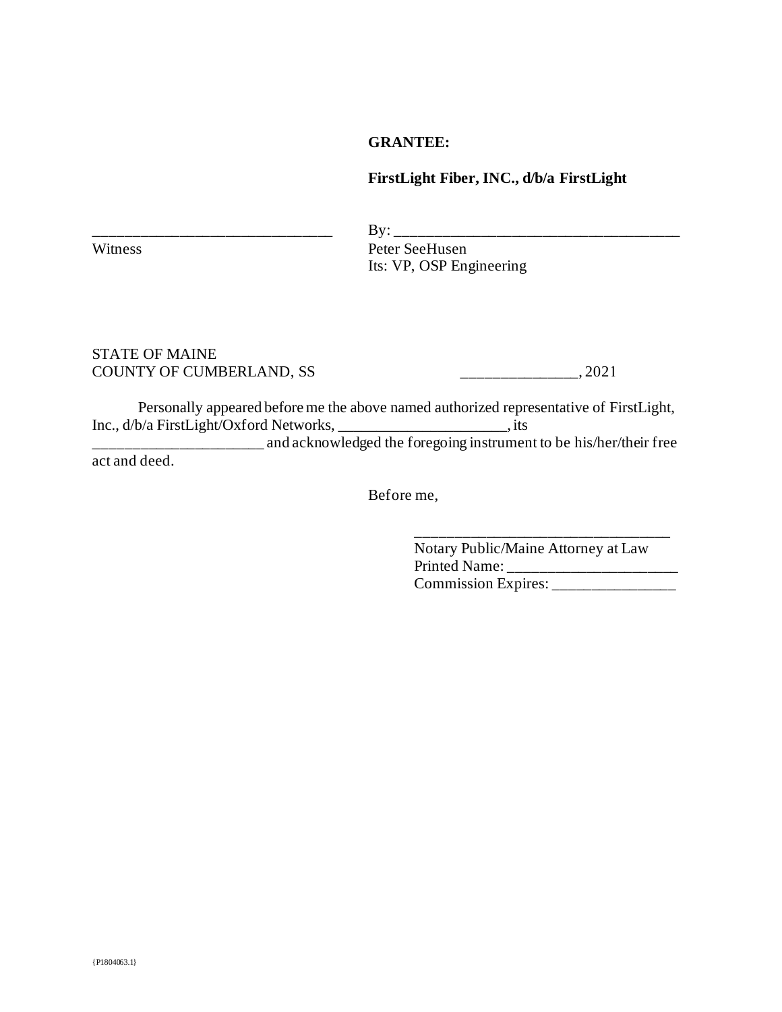### **GRANTEE:**

### **FirstLight Fiber, INC., d/b/a FirstLight**

 $\rm By:\_$ Witness Peter SeeHusen Its: VP, OSP Engineering

#### STATE OF MAINE COUNTY OF CUMBERLAND, SS \_\_\_\_\_\_\_\_\_\_\_\_\_\_\_, 2021

Personally appeared before me the above named authorized representative of FirstLight, Inc., d/b/a FirstLight/Oxford Networks, \_\_\_\_\_\_\_\_\_\_\_\_\_\_\_\_\_\_\_\_\_\_, its and acknowledged the foregoing instrument to be his/her/their free act and deed.

Before me,

Notary Public/Maine Attorney at Law Printed Name: \_\_\_\_\_\_\_\_\_\_\_\_\_\_\_\_\_\_\_\_\_\_ Commission Expires: \_\_\_\_\_\_\_\_\_\_\_\_\_\_\_\_

\_\_\_\_\_\_\_\_\_\_\_\_\_\_\_\_\_\_\_\_\_\_\_\_\_\_\_\_\_\_\_\_\_